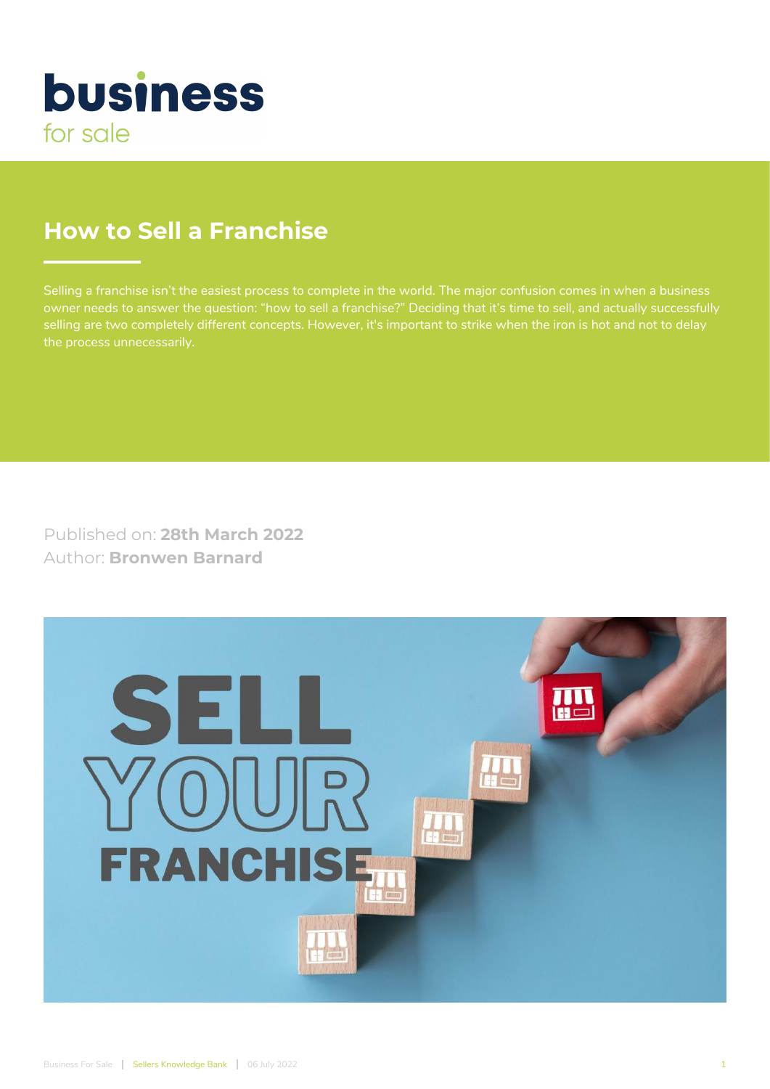

# **How to Sell a Franchise**

owner needs to answer the question: "how to sell a franchise?" Deciding that it's time to sell, and actually successfully selling are two completely different concepts. However, it's important to strike when the iron is hot and not to delay

Published on: **28th March 2022** Author: **Bronwen Barnard**

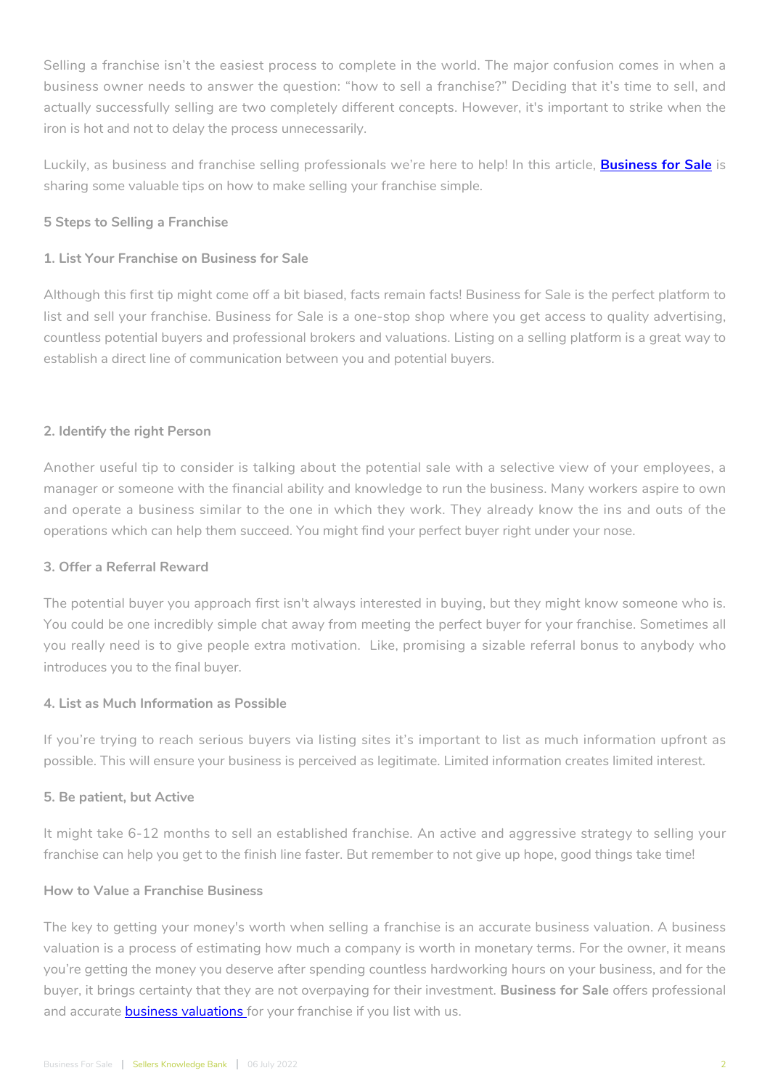Selling a franchise isn't the easiest process to complete in the world. The major confusion comes in when a business owner needs to answer the question: "how to sell a franchise?" Deciding that it's time to sell, and actually successfully selling are two completely different concepts. However, it's important to strike when the iron is hot and not to delay the process unnecessarily.

Luckily, as business and franchise selling professionals we're here to help! In this article, **[Business for Sale](https://businessforsale.co.za/)** is sharing some valuable tips on how to make selling your franchise simple.

## **5 Steps to Selling a Franchise**

## **1. List Your Franchise on Business for Sale**

Although this first tip might come off a bit biased, facts remain facts! Business for Sale is the perfect platform to list and sell your franchise. Business for Sale is a one-stop shop where you get access to quality advertising, countless potential buyers and professional brokers and valuations. Listing on a selling platform is a great way to establish a direct line of communication between you and potential buyers.

## **2. Identify the right Person**

Another useful tip to consider is talking about the potential sale with a selective view of your employees, a manager or someone with the financial ability and knowledge to run the business. Many workers aspire to own and operate a business similar to the one in which they work. They already know the ins and outs of the operations which can help them succeed. You might find your perfect buyer right under your nose.

#### **3. Offer a Referral Reward**

The potential buyer you approach first isn't always interested in buying, but they might know someone who is. You could be one incredibly simple chat away from meeting the perfect buyer for your franchise. Sometimes all you really need is to give people extra motivation. Like, promising a sizable referral bonus to anybody who introduces you to the final buyer.

#### **4. List as Much Information as Possible**

If you're trying to reach serious buyers via listing sites it's important to list as much information upfront as possible. This will ensure your business is perceived as legitimate. Limited information creates limited interest.

#### **5. Be patient, but Active**

It might take 6-12 months to sell an established franchise. An active and aggressive strategy to selling your franchise can help you get to the finish line faster. But remember to not give up hope, good things take time!

#### **How to Value a Franchise Business**

The key to getting your money's worth when selling a franchise is an accurate business valuation. A business valuation is a process of estimating how much a company is worth in monetary terms. For the owner, it means you're getting the money you deserve after spending countless hardworking hours on your business, and for the buyer, it brings certainty that they are not overpaying for their investment. **Business for Sale** offers professional and accurate **business valuations** for your franchise if you list with us.